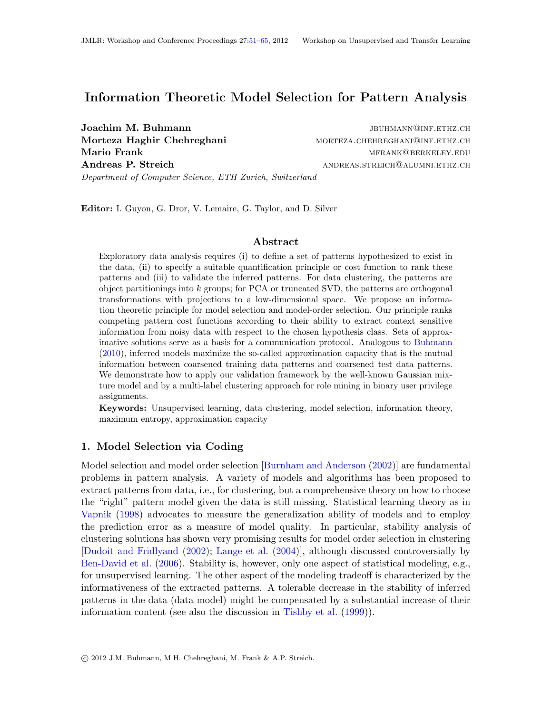# Information Theoretic Model Selection for Pattern Analysis

Joachim M. Buhmann **information** is a settlement of the settlement of the settlement of the settlement of the set Department of Computer Science, ETH Zurich, Switzerland

Morteza Haghir Chehreghani MORTEZA.CHEHREGHANI@INF.ETHZ.CH Mario Frank metal mental mental mental mental mental mental mental mental mental mental mental mental mental m Andreas P. Streich **andreas** STREICH **and ANDREAS.** STREICH **and ALUMNI.ETHZ.CH** 

Editor: I. Guyon, G. Dror, V. Lemaire, G. Taylor, and D. Silver

#### Abstract

Exploratory data analysis requires (i) to define a set of patterns hypothesized to exist in the data, (ii) to specify a suitable quantification principle or cost function to rank these patterns and (iii) to validate the inferred patterns. For data clustering, the patterns are object partitionings into  $k$  groups; for PCA or truncated SVD, the patterns are orthogonal transformations with projections to a low-dimensional space. We propose an information theoretic principle for model selection and model-order selection. Our principle ranks competing pattern cost functions according to their ability to extract context sensitive information from noisy data with respect to the chosen hypothesis class. Sets of approximative solutions serve as a basis for a communication protocol. Analogous to [Buhmann](#page-13-0) [\(2010\)](#page-13-0), inferred models maximize the so-called approximation capacity that is the mutual information between coarsened training data patterns and coarsened test data patterns. We demonstrate how to apply our validation framework by the well-known Gaussian mixture model and by a multi-label clustering approach for role mining in binary user privilege assignments.

Keywords: Unsupervised learning, data clustering, model selection, information theory, maximum entropy, approximation capacity

## 1. Model Selection via Coding

Model selection and model order selection [\[Burnham and Anderson](#page-13-1) [\(2002\)](#page-13-1)] are fundamental problems in pattern analysis. A variety of models and algorithms has been proposed to extract patterns from data, i.e., for clustering, but a comprehensive theory on how to choose the "right" pattern model given the data is still missing. Statistical learning theory as in [Vapnik](#page-14-1) [\(1998\)](#page-14-1) advocates to measure the generalization ability of models and to employ the prediction error as a measure of model quality. In particular, stability analysis of clustering solutions has shown very promising results for model order selection in clustering [\[Dudoit and Fridlyand](#page-14-2) [\(2002\)](#page-14-2); [Lange et al.](#page-14-3) [\(2004\)](#page-14-3)], although discussed controversially by [Ben-David et al.](#page-13-2) [\(2006\)](#page-13-2). Stability is, however, only one aspect of statistical modeling, e.g., for unsupervised learning. The other aspect of the modeling tradeoff is characterized by the informativeness of the extracted patterns. A tolerable decrease in the stability of inferred patterns in the data (data model) might be compensated by a substantial increase of their information content (see also the discussion in [Tishby et al.](#page-14-4) [\(1999\)](#page-14-4)).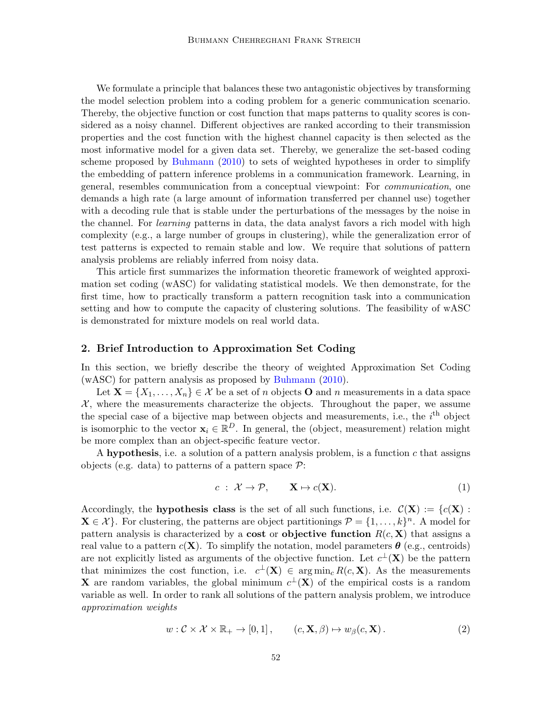We formulate a principle that balances these two antagonistic objectives by transforming the model selection problem into a coding problem for a generic communication scenario. Thereby, the objective function or cost function that maps patterns to quality scores is considered as a noisy channel. Different objectives are ranked according to their transmission properties and the cost function with the highest channel capacity is then selected as the most informative model for a given data set. Thereby, we generalize the set-based coding scheme proposed by [Buhmann](#page-13-0) [\(2010\)](#page-13-0) to sets of weighted hypotheses in order to simplify the embedding of pattern inference problems in a communication framework. Learning, in general, resembles communication from a conceptual viewpoint: For communication, one demands a high rate (a large amount of information transferred per channel use) together with a decoding rule that is stable under the perturbations of the messages by the noise in the channel. For learning patterns in data, the data analyst favors a rich model with high complexity (e.g., a large number of groups in clustering), while the generalization error of test patterns is expected to remain stable and low. We require that solutions of pattern analysis problems are reliably inferred from noisy data.

This article first summarizes the information theoretic framework of weighted approximation set coding (wASC) for validating statistical models. We then demonstrate, for the first time, how to practically transform a pattern recognition task into a communication setting and how to compute the capacity of clustering solutions. The feasibility of wASC is demonstrated for mixture models on real world data.

# 2. Brief Introduction to Approximation Set Coding

In this section, we briefly describe the theory of weighted Approximation Set Coding (wASC) for pattern analysis as proposed by [Buhmann](#page-13-0) [\(2010\)](#page-13-0).

Let  $\mathbf{X} = \{X_1, \ldots, X_n\} \in \mathcal{X}$  be a set of n objects **O** and n measurements in a data space  $X$ , where the measurements characterize the objects. Throughout the paper, we assume the special case of a bijective map between objects and measurements, i.e., the  $i<sup>th</sup>$  object is isomorphic to the vector  $\mathbf{x}_i \in \mathbb{R}^D$ . In general, the (object, measurement) relation might be more complex than an object-specific feature vector.

A hypothesis, i.e. a solution of a pattern analysis problem, is a function  $c$  that assigns objects (e.g. data) to patterns of a pattern space  $\mathcal{P}$ :

$$
c: \mathcal{X} \to \mathcal{P}, \qquad \mathbf{X} \mapsto c(\mathbf{X}). \tag{1}
$$

Accordingly, the **hypothesis class** is the set of all such functions, i.e.  $\mathcal{C}(\mathbf{X}) := \{c(\mathbf{X}) : \mathbf{X} \in \mathcal{C}(\mathbf{X})\}$  $\mathbf{X} \in \mathcal{X}$ . For clustering, the patterns are object partitionings  $\mathcal{P} = \{1, \ldots, k\}^n$ . A model for pattern analysis is characterized by a cost or objective function  $R(c, X)$  that assigns a real value to a pattern  $c(\mathbf{X})$ . To simplify the notation, model parameters  $\boldsymbol{\theta}$  (e.g., centroids) are not explicitly listed as arguments of the objective function. Let  $c^{\perp}(\mathbf{X})$  be the pattern that minimizes the cost function, i.e.  $c^{\perp}(\mathbf{X}) \in \arg \min_{c} R(c, \mathbf{X})$ . As the measurements **X** are random variables, the global minimum  $c^{\perp}(\mathbf{X})$  of the empirical costs is a random variable as well. In order to rank all solutions of the pattern analysis problem, we introduce approximation weights

<span id="page-1-0"></span>
$$
w: \mathcal{C} \times \mathcal{X} \times \mathbb{R}_+ \to [0, 1], \qquad (c, \mathbf{X}, \beta) \mapsto w_{\beta}(c, \mathbf{X}). \tag{2}
$$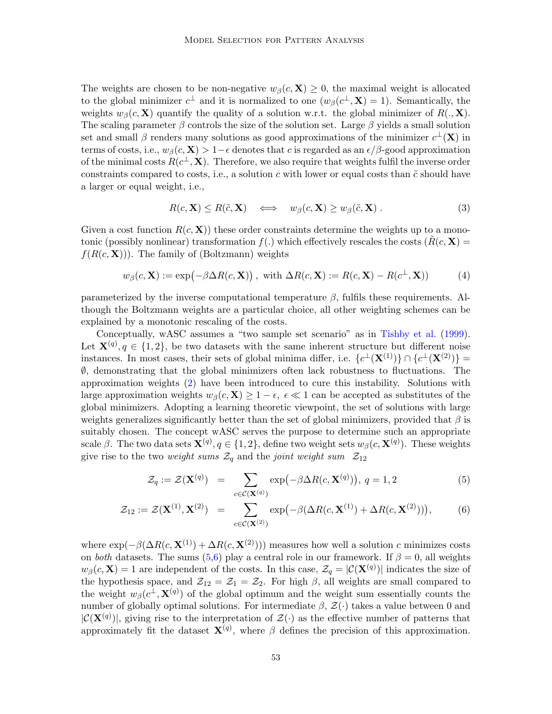The weights are chosen to be non-negative  $w_\beta(c, \mathbf{X}) \geq 0$ , the maximal weight is allocated to the global minimizer  $c^{\perp}$  and it is normalized to one  $(w_{\beta}(c^{\perp}, \mathbf{X}) = 1)$ . Semantically, the weights  $w_\beta(c, \mathbf{X})$  quantify the quality of a solution w.r.t. the global minimizer of  $R(., \mathbf{X})$ . The scaling parameter  $\beta$  controls the size of the solution set. Large  $\beta$  yields a small solution set and small  $\beta$  renders many solutions as good approximations of the minimizer  $c^{\perp}(\mathbf{X})$  in terms of costs, i.e.,  $w_{\beta}(c, \mathbf{X}) > 1-\epsilon$  denotes that c is regarded as an  $\epsilon/\beta$ -good approximation of the minimal costs  $R(c^{\perp}, \mathbf{X})$ . Therefore, we also require that weights fulfil the inverse order constraints compared to costs, i.e., a solution c with lower or equal costs than  $\tilde{c}$  should have a larger or equal weight, i.e.,

$$
R(c, \mathbf{X}) \le R(\tilde{c}, \mathbf{X}) \quad \Longleftrightarrow \quad w_{\beta}(c, \mathbf{X}) \ge w_{\beta}(\tilde{c}, \mathbf{X}). \tag{3}
$$

Given a cost function  $R(c, X)$  these order constraints determine the weights up to a monotonic (possibly nonlinear) transformation  $f(.)$  which effectively rescales the costs  $(R(c, X))$  $f(R(c, \mathbf{X})))$ . The family of (Boltzmann) weights

$$
w_{\beta}(c, \mathbf{X}) := \exp(-\beta \Delta R(c, \mathbf{X}))
$$
, with  $\Delta R(c, \mathbf{X}) := R(c, \mathbf{X}) - R(c^{\perp}, \mathbf{X}))$  (4)

parameterized by the inverse computational temperature  $\beta$ , fulfils these requirements. Although the Boltzmann weights are a particular choice, all other weighting schemes can be explained by a monotonic rescaling of the costs.

Conceptually, wASC assumes a "two sample set scenario" as in [Tishby et al.](#page-14-4) [\(1999\)](#page-14-4). Let  $\mathbf{X}^{(q)}, q \in \{1,2\}$ , be two datasets with the same inherent structure but different noise instances. In most cases, their sets of global minima differ, i.e.  ${c}^{\perp}(\mathbf{X}^{(1)})$   $\cap$   ${c}^{\perp}(\mathbf{X}^{(2)})$  = ∅, demonstrating that the global minimizers often lack robustness to fluctuations. The approximation weights [\(2\)](#page-1-0) have been introduced to cure this instability. Solutions with large approximation weights  $w_\beta(c, \mathbf{X}) \geq 1 - \epsilon$ ,  $\epsilon \ll 1$  can be accepted as substitutes of the global minimizers. Adopting a learning theoretic viewpoint, the set of solutions with large weights generalizes significantly better than the set of global minimizers, provided that  $\beta$  is suitably chosen. The concept wASC serves the purpose to determine such an appropriate scale  $\beta$ . The two data sets  $\mathbf{X}^{(q)}, q \in \{1,2\}$ , define two weight sets  $w_{\beta}(c, \mathbf{X}^{(q)})$ . These weights give rise to the two weight sums  $\mathcal{Z}_q$  and the joint weight sum  $\mathcal{Z}_{12}$ 

<span id="page-2-0"></span>
$$
\mathcal{Z}_q := \mathcal{Z}(\mathbf{X}^{(q)}) = \sum_{c \in \mathcal{C}(\mathbf{X}^{(q)})} \exp\left(-\beta \Delta R(c, \mathbf{X}^{(q)})\right), \ q = 1, 2 \tag{5}
$$

$$
\mathcal{Z}_{12} := \mathcal{Z}(\mathbf{X}^{(1)}, \mathbf{X}^{(2)}) = \sum_{c \in \mathcal{C}(\mathbf{X}^{(2)})} \exp\left(-\beta(\Delta R(c, \mathbf{X}^{(1)}) + \Delta R(c, \mathbf{X}^{(2)}))\right),\tag{6}
$$

where  $\exp(-\beta(\Delta R(c, \mathbf{X}^{(1)}) + \Delta R(c, \mathbf{X}^{(2)})))$  measures how well a solution c minimizes costs on both datasets. The sums [\(5,6\)](#page-2-0) play a central role in our framework. If  $\beta = 0$ , all weights  $w_\beta(c, \mathbf{X}) = 1$  are independent of the costs. In this case,  $\mathcal{Z}_q = |\mathcal{C}(\mathbf{X}^{(q)})|$  indicates the size of the hypothesis space, and  $\mathcal{Z}_{12} = \mathcal{Z}_1 = \mathcal{Z}_2$ . For high  $\beta$ , all weights are small compared to the weight  $w_{\beta}(c^{\perp}, \mathbf{X}^{(q)})$  of the global optimum and the weight sum essentially counts the number of globally optimal solutions. For intermediate  $\beta$ ,  $\mathcal{Z}(\cdot)$  takes a value between 0 and  $|\mathcal{C}(\mathbf{X}^{(q)})|$ , giving rise to the interpretation of  $\mathcal{Z}(\cdot)$  as the effective number of patterns that approximately fit the dataset  $\mathbf{X}^{(q)}$ , where  $\beta$  defines the precision of this approximation.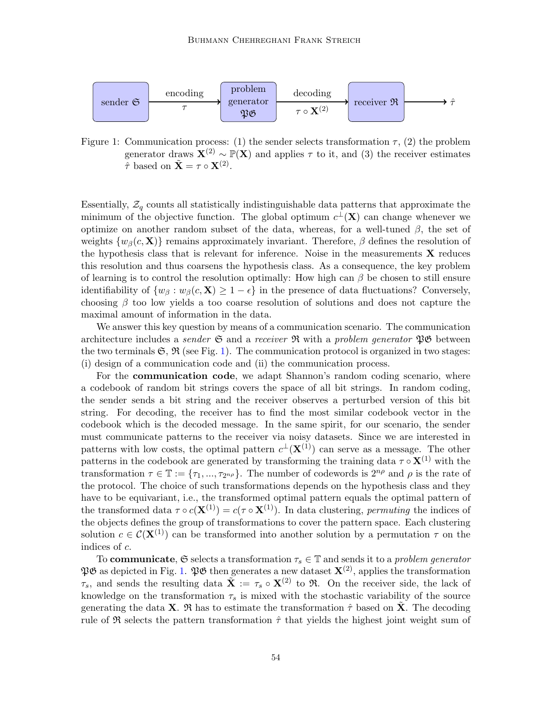

<span id="page-3-0"></span>Figure 1: Communication process: (1) the sender selects transformation  $\tau$ , (2) the problem generator draws  $\mathbf{X}^{(2)} \sim \mathbb{P}(\mathbf{X})$  and applies  $\tau$  to it, and (3) the receiver estimates  $\tilde{\tau}$  based on  $\tilde{\mathbf{X}} = \tau \circ \mathbf{X}^{(2)}$ .

Essentially,  $\mathcal{Z}_q$  counts all statistically indistinguishable data patterns that approximate the minimum of the objective function. The global optimum  $c^{\perp}(\mathbf{X})$  can change whenever we optimize on another random subset of the data, whereas, for a well-tuned  $\beta$ , the set of weights  $\{w_\beta(c, \mathbf{X})\}$  remains approximately invariant. Therefore,  $\beta$  defines the resolution of the hypothesis class that is relevant for inference. Noise in the measurements  $\bf{X}$  reduces this resolution and thus coarsens the hypothesis class. As a consequence, the key problem of learning is to control the resolution optimally: How high can  $\beta$  be chosen to still ensure identifiability of  $\{w_\beta : w_\beta(c, \mathbf{X}) \geq 1 - \epsilon\}$  in the presence of data fluctuations? Conversely, choosing  $\beta$  too low yields a too coarse resolution of solutions and does not capture the maximal amount of information in the data.

We answer this key question by means of a communication scenario. The communication architecture includes a *sender*  $\mathfrak{S}$  and a *receiver*  $\mathfrak{R}$  with a *problem generator*  $\mathfrak{P}$  $\mathfrak{S}$  between the two terminals  $\mathfrak{S}, \mathfrak{R}$  (see Fig. [1\)](#page-3-0). The communication protocol is organized in two stages: (i) design of a communication code and (ii) the communication process.

For the communication code, we adapt Shannon's random coding scenario, where a codebook of random bit strings covers the space of all bit strings. In random coding, the sender sends a bit string and the receiver observes a perturbed version of this bit string. For decoding, the receiver has to find the most similar codebook vector in the codebook which is the decoded message. In the same spirit, for our scenario, the sender must communicate patterns to the receiver via noisy datasets. Since we are interested in patterns with low costs, the optimal pattern  $c^{\perp}(\mathbf{X}^{(1)})$  can serve as a message. The other patterns in the codebook are generated by transforming the training data  $\tau \circ \mathbf{X}^{(1)}$  with the transformation  $\tau \in \mathbb{T} := {\tau_1, ..., \tau_{2^{n_\rho}}}$ . The number of codewords is  $2^{n_\rho}$  and  $\rho$  is the rate of the protocol. The choice of such transformations depends on the hypothesis class and they have to be equivariant, i.e., the transformed optimal pattern equals the optimal pattern of the transformed data  $\tau \circ c(\mathbf{X}^{(1)}) = c(\tau \circ \mathbf{X}^{(1)})$ . In data clustering, *permuting* the indices of the objects defines the group of transformations to cover the pattern space. Each clustering solution  $c \in \mathcal{C}(\mathbf{X}^{(1)})$  can be transformed into another solution by a permutation  $\tau$  on the indices of c.

To **communicate**,  $\mathfrak{S}$  selects a transformation  $\tau_s \in \mathbb{T}$  and sends it to a *problem generator*  $\mathfrak{P}\mathfrak{G}$  as depicted in Fig. [1.](#page-3-0)  $\mathfrak{P}\mathfrak{G}$  then generates a new dataset  $\mathbf{X}^{(2)}$ , applies the transformation  $\tau_s$ , and sends the resulting data  $\tilde{\mathbf{X}} := \tau_s \circ \mathbf{X}^{(2)}$  to  $\mathfrak{R}$ . On the receiver side, the lack of knowledge on the transformation  $\tau_s$  is mixed with the stochastic variability of the source generating the data **X**.  $\mathfrak{R}$  has to estimate the transformation  $\hat{\tau}$  based on **X**. The decoding rule of R selects the pattern transformation  $\hat{\tau}$  that yields the highest joint weight sum of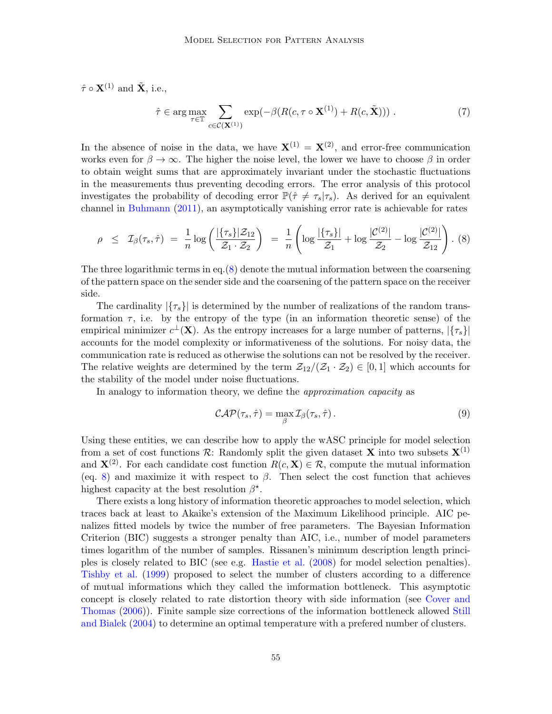$\hat{\tau} \circ \mathbf{X}^{(1)}$  and  $\tilde{\mathbf{X}}$ , i.e.,

$$
\hat{\tau} \in \arg \max_{\tau \in \mathbb{T}} \sum_{c \in \mathcal{C}(\mathbf{X}^{(1)})} \exp(-\beta(R(c, \tau \circ \mathbf{X}^{(1)}) + R(c, \tilde{\mathbf{X}}))) \tag{7}
$$

In the absence of noise in the data, we have  $\mathbf{X}^{(1)} = \mathbf{X}^{(2)}$ , and error-free communication works even for  $\beta \to \infty$ . The higher the noise level, the lower we have to choose  $\beta$  in order to obtain weight sums that are approximately invariant under the stochastic fluctuations in the measurements thus preventing decoding errors. The error analysis of this protocol investigates the probability of decoding error  $\mathbb{P}(\hat{\tau} \neq \tau_s | \tau_s)$ . As derived for an equivalent channel in [Buhmann](#page-13-3) [\(2011\)](#page-13-3), an asymptotically vanishing error rate is achievable for rates

<span id="page-4-0"></span>
$$
\rho \leq \mathcal{I}_{\beta}(\tau_s, \hat{\tau}) = \frac{1}{n} \log \left( \frac{|\{\tau_s\}|\mathcal{Z}_{12}}{\mathcal{Z}_1 \cdot \mathcal{Z}_2} \right) = \frac{1}{n} \left( \log \frac{|\{\tau_s\}|}{\mathcal{Z}_1} + \log \frac{|\mathcal{C}^{(2)}|}{\mathcal{Z}_2} - \log \frac{|\mathcal{C}^{(2)}|}{\mathcal{Z}_{12}} \right). (8)
$$

The three logarithmic terms in eq. $(8)$  denote the mutual information between the coarsening of the pattern space on the sender side and the coarsening of the pattern space on the receiver side.

The cardinality  $|\{\tau_s\}|$  is determined by the number of realizations of the random transformation  $\tau$ , i.e. by the entropy of the type (in an information theoretic sense) of the empirical minimizer  $c^{\perp}(\mathbf{X})$ . As the entropy increases for a large number of patterns,  $|\{\tau_s\}|$ accounts for the model complexity or informativeness of the solutions. For noisy data, the communication rate is reduced as otherwise the solutions can not be resolved by the receiver. The relative weights are determined by the term  $\mathcal{Z}_{12}/(\mathcal{Z}_1 \cdot \mathcal{Z}_2) \in [0,1]$  which accounts for the stability of the model under noise fluctuations.

In analogy to information theory, we define the *approximation capacity* as

<span id="page-4-1"></span>
$$
\mathcal{CAP}(\tau_s, \hat{\tau}) = \max_{\beta} \mathcal{I}_{\beta}(\tau_s, \hat{\tau}). \tag{9}
$$

Using these entities, we can describe how to apply the wASC principle for model selection from a set of cost functions  $\mathcal{R}$ : Randomly split the given dataset **X** into two subsets  $\mathbf{X}^{(1)}$ and  $X^{(2)}$ . For each candidate cost function  $R(c, X) \in \mathcal{R}$ , compute the mutual information (eq. [8\)](#page-4-0) and maximize it with respect to  $\beta$ . Then select the cost function that achieves highest capacity at the best resolution  $\beta^*$ .

There exists a long history of information theoretic approaches to model selection, which traces back at least to Akaike's extension of the Maximum Likelihood principle. AIC penalizes fitted models by twice the number of free parameters. The Bayesian Information Criterion (BIC) suggests a stronger penalty than AIC, i.e., number of model parameters times logarithm of the number of samples. Rissanen's minimum description length principles is closely related to BIC (see e.g. [Hastie et al.](#page-14-5) [\(2008\)](#page-14-5) for model selection penalties). [Tishby et al.](#page-14-4) [\(1999\)](#page-14-4) proposed to select the number of clusters according to a difference of mutual informations which they called the imformation bottleneck. This asymptotic concept is closely related to rate distortion theory with side information (see [Cover and](#page-14-6) [Thomas](#page-14-6) [\(2006\)](#page-14-6)). Finite sample size corrections of the information bottleneck allowed [Still](#page-14-7) [and Bialek](#page-14-7) [\(2004\)](#page-14-7) to determine an optimal temperature with a prefered number of clusters.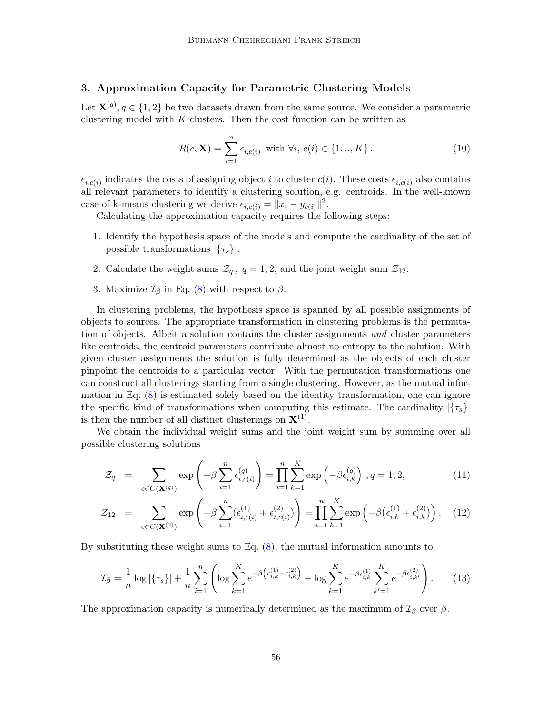# <span id="page-5-1"></span>3. Approximation Capacity for Parametric Clustering Models

Let  $\mathbf{X}^{(q)}, q \in \{1,2\}$  be two datasets drawn from the same source. We consider a parametric clustering model with  $K$  clusters. Then the cost function can be written as

$$
R(c, \mathbf{X}) = \sum_{i=1}^{n} \epsilon_{i, c(i)} \text{ with } \forall i, \ c(i) \in \{1, ..., K\}.
$$
 (10)

 $\epsilon_{i,c(i)}$  indicates the costs of assigning object i to cluster  $c(i)$ . These costs  $\epsilon_{i,c(i)}$  also contains all relevant parameters to identify a clustering solution, e.g. centroids. In the well-known case of k-means clustering we derive  $\epsilon_{i,c(i)} = ||x_i - y_{c(i)}||^2$ .

Calculating the approximation capacity requires the following steps:

- 1. Identify the hypothesis space of the models and compute the cardinality of the set of possible transformations  $|\{\tau_s\}|$ .
- 2. Calculate the weight sums  $\mathcal{Z}_q$ ,  $q = 1, 2$ , and the joint weight sum  $\mathcal{Z}_{12}$ .
- 3. Maximize  $\mathcal{I}_{\beta}$  in Eq. [\(8\)](#page-4-0) with respect to  $\beta$ .

In clustering problems, the hypothesis space is spanned by all possible assignments of objects to sources. The appropriate transformation in clustering problems is the permutation of objects. Albeit a solution contains the cluster assignments and cluster parameters like centroids, the centroid parameters contribute almost no entropy to the solution. With given cluster assignments the solution is fully determined as the objects of each cluster pinpoint the centroids to a particular vector. With the permutation transformations one can construct all clusterings starting from a single clustering. However, as the mutual information in Eq. [\(8\)](#page-4-0) is estimated solely based on the identity transformation, one can ignore the specific kind of transformations when computing this estimate. The cardinality  $|\{\tau_{s}\}|$ is then the number of all distinct clusterings on  $X^{(1)}$ .

We obtain the individual weight sums and the joint weight sum by summing over all possible clustering solutions

$$
\mathcal{Z}_q = \sum_{c \in C(\mathbf{X}^{(q)})} \exp\left(-\beta \sum_{i=1}^n \epsilon_{i,c(i)}^{(q)}\right) = \prod_{i=1}^n \sum_{k=1}^K \exp\left(-\beta \epsilon_{i,k}^{(q)}\right), q = 1, 2,
$$
\n(11)

$$
\mathcal{Z}_{12} = \sum_{c \in C(\mathbf{X}^{(2)})} \exp\left(-\beta \sum_{i=1}^{n} (\epsilon_{i,c(i)}^{(1)} + \epsilon_{i,c(i)}^{(2)})\right) = \prod_{i=1}^{n} \sum_{k=1}^{K} \exp\left(-\beta \left(\epsilon_{i,k}^{(1)} + \epsilon_{i,k}^{(2)}\right)\right). \tag{12}
$$

By substituting these weight sums to Eq.  $(8)$ , the mutual information amounts to

<span id="page-5-0"></span>
$$
\mathcal{I}_{\beta} = \frac{1}{n} \log |\{\tau_s\}| + \frac{1}{n} \sum_{i=1}^n \left( \log \sum_{k=1}^K e^{-\beta \left(\epsilon_{i,k}^{(1)} + \epsilon_{i,k}^{(2)}\right)} - \log \sum_{k=1}^K e^{-\beta \epsilon_{i,k}^{(1)}} \sum_{k'=1}^K e^{-\beta \epsilon_{i,k'}^{(2)}} \right). \tag{13}
$$

The approximation capacity is numerically determined as the maximum of  $\mathcal{I}_{\beta}$  over  $\beta$ .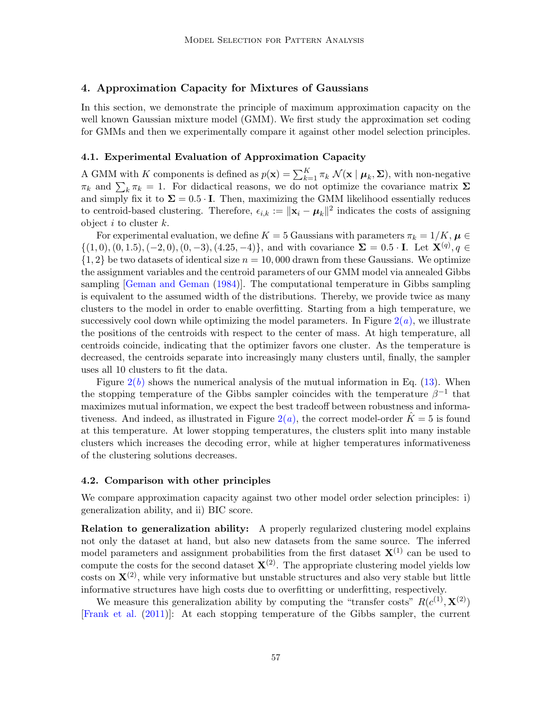# 4. Approximation Capacity for Mixtures of Gaussians

In this section, we demonstrate the principle of maximum approximation capacity on the well known Gaussian mixture model (GMM). We first study the approximation set coding for GMMs and then we experimentally compare it against other model selection principles.

#### 4.1. Experimental Evaluation of Approximation Capacity

A GMM with K components is defined as  $p(\mathbf{x}) = \sum_{k=1}^{K} \pi_k \mathcal{N}(\mathbf{x} \mid \boldsymbol{\mu}_k, \boldsymbol{\Sigma})$ , with non-negative  $\pi_k$  and  $\sum_k \pi_k = 1$ . For didactical reasons, we do not optimize the covariance matrix  $\Sigma$ and simply fix it to  $\Sigma = 0.5 \cdot \mathbf{I}$ . Then, maximizing the GMM likelihood essentially reduces to centroid-based clustering. Therefore,  $\epsilon_{i,k} := ||\mathbf{x}_i - \boldsymbol{\mu}_k||^2$  indicates the costs of assigning object  $i$  to cluster  $k$ .

For experimental evaluation, we define  $K = 5$  Gaussians with parameters  $\pi_k = 1/K$ ,  $\mu \in$  $\{(1,0), (0,1.5), (-2,0), (0,-3), (4.25,-4)\}\$ , and with covariance  $\Sigma = 0.5 \cdot I$ . Let  $\mathbf{X}^{(q)}$ ,  $q \in$  $\{1, 2\}$  be two datasets of identical size  $n = 10,000$  drawn from these Gaussians. We optimize the assignment variables and the centroid parameters of our GMM model via annealed Gibbs sampling [\[Geman and Geman](#page-14-8) [\(1984\)](#page-14-8)]. The computational temperature in Gibbs sampling is equivalent to the assumed width of the distributions. Thereby, we provide twice as many clusters to the model in order to enable overfitting. Starting from a high temperature, we successively cool down while optimizing the model parameters. In Figure  $2(a)$  $2(a)$ , we illustrate the positions of the centroids with respect to the center of mass. At high temperature, all centroids coincide, indicating that the optimizer favors one cluster. As the temperature is decreased, the centroids separate into increasingly many clusters until, finally, the sampler uses all 10 clusters to fit the data.

Figure  $2(b)$  $2(b)$  shows the numerical analysis of the mutual information in Eq. [\(13\)](#page-5-0). When the stopping temperature of the Gibbs sampler coincides with the temperature  $\beta^{-1}$  that maximizes mutual information, we expect the best tradeoff between robustness and informativeness. And indeed, as illustrated in Figure  $2(a)$  $2(a)$ , the correct model-order  $K=5$  is found at this temperature. At lower stopping temperatures, the clusters split into many instable clusters which increases the decoding error, while at higher temperatures informativeness of the clustering solutions decreases.

#### 4.2. Comparison with other principles

We compare approximation capacity against two other model order selection principles: i) generalization ability, and ii) BIC score.

**Relation to generalization ability:** A properly regularized clustering model explains not only the dataset at hand, but also new datasets from the same source. The inferred model parameters and assignment probabilities from the first dataset  $X^{(1)}$  can be used to compute the costs for the second dataset  $\mathbf{X}^{(2)}$ . The appropriate clustering model yields low costs on  ${\bf X}^{(2)}$ , while very informative but unstable structures and also very stable but little informative structures have high costs due to overfitting or underfitting, respectively.

We measure this generalization ability by computing the "transfer costs"  $R(c^{(1)}, \mathbf{X}^{(2)})$ [\[Frank et al.](#page-14-9) [\(2011\)](#page-14-9)]: At each stopping temperature of the Gibbs sampler, the current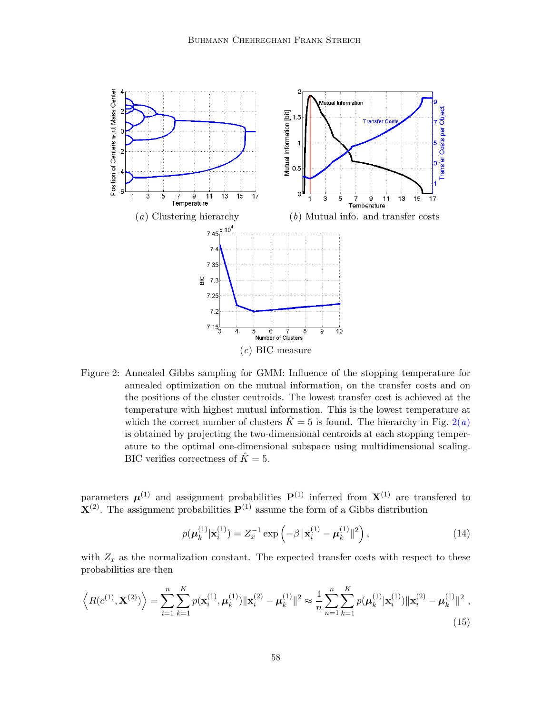<span id="page-7-1"></span><span id="page-7-0"></span>

<span id="page-7-2"></span>Figure 2: Annealed Gibbs sampling for GMM: Influence of the stopping temperature for annealed optimization on the mutual information, on the transfer costs and on the positions of the cluster centroids. The lowest transfer cost is achieved at the temperature with highest mutual information. This is the lowest temperature at which the correct number of clusters  $\hat{K} = 5$  is found. The hierarchy in Fig. [2\(](#page-7-0)a) is obtained by projecting the two-dimensional centroids at each stopping temperature to the optimal one-dimensional subspace using multidimensional scaling. BIC verifies correctness of  $\hat{K} = 5$ .

parameters  $\mu^{(1)}$  and assignment probabilities  $P^{(1)}$  inferred from  $X^{(1)}$  are transfered to  ${\bf X}^{(2)}$ . The assignment probabilities  ${\bf P}^{(1)}$  assume the form of a Gibbs distribution

$$
p(\boldsymbol{\mu}_k^{(1)} | \mathbf{x}_i^{(1)}) = Z_x^{-1} \exp\left(-\beta \|\mathbf{x}_i^{(1)} - \boldsymbol{\mu}_k^{(1)}\|^2\right),\tag{14}
$$

with  $Z_x$  as the normalization constant. The expected transfer costs with respect to these probabilities are then

$$
\left\langle R(c^{(1)}, \mathbf{X}^{(2)}) \right\rangle = \sum_{i=1}^{n} \sum_{k=1}^{K} p(\mathbf{x}_{i}^{(1)}, \boldsymbol{\mu}_{k}^{(1)}) \|\mathbf{x}_{i}^{(2)} - \boldsymbol{\mu}_{k}^{(1)}\|^{2} \approx \frac{1}{n} \sum_{n=1}^{n} \sum_{k=1}^{K} p(\boldsymbol{\mu}_{k}^{(1)}|\mathbf{x}_{i}^{(1)}) \|\mathbf{x}_{i}^{(2)} - \boldsymbol{\mu}_{k}^{(1)}\|^{2},
$$
\n(15)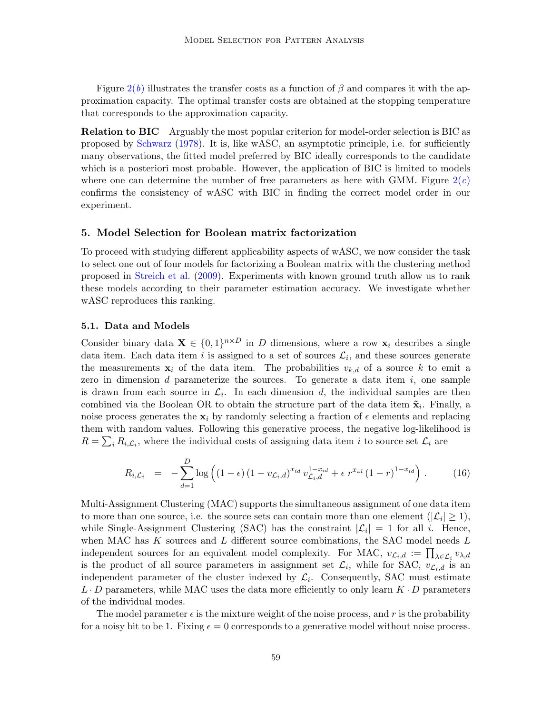Figure  $2(b)$  $2(b)$  illustrates the transfer costs as a function of  $\beta$  and compares it with the approximation capacity. The optimal transfer costs are obtained at the stopping temperature that corresponds to the approximation capacity.

Relation to BIC Arguably the most popular criterion for model-order selection is BIC as proposed by [Schwarz](#page-14-10) [\(1978\)](#page-14-10). It is, like wASC, an asymptotic principle, i.e. for sufficiently many observations, the fitted model preferred by BIC ideally corresponds to the candidate which is a posteriori most probable. However, the application of BIC is limited to models where one can determine the number of free parameters as here with GMM. Figure  $2(c)$  $2(c)$ confirms the consistency of wASC with BIC in finding the correct model order in our experiment.

# 5. Model Selection for Boolean matrix factorization

To proceed with studying different applicability aspects of wASC, we now consider the task to select one out of four models for factorizing a Boolean matrix with the clustering method proposed in [Streich et al.](#page-14-11) [\(2009\)](#page-14-11). Experiments with known ground truth allow us to rank these models according to their parameter estimation accuracy. We investigate whether wASC reproduces this ranking.

## 5.1. Data and Models

Consider binary data  $\mathbf{X} \in \{0,1\}^{n \times D}$  in D dimensions, where a row  $\mathbf{x}_i$  describes a single data item. Each data item i is assigned to a set of sources  $\mathcal{L}_i$ , and these sources generate the measurements  $x_i$  of the data item. The probabilities  $v_{k,d}$  of a source k to emit a zero in dimension  $d$  parameterize the sources. To generate a data item  $i$ , one sample is drawn from each source in  $\mathcal{L}_i$ . In each dimension d, the individual samples are then combined via the Boolean OR to obtain the structure part of the data item  $\tilde{\mathbf{x}}_i$ . Finally, a noise process generates the  $x_i$  by randomly selecting a fraction of  $\epsilon$  elements and replacing them with random values. Following this generative process, the negative log-likelihood is  $R = \sum_i R_{i,\mathcal{L}_i}$ , where the individual costs of assigning data item i to source set  $\mathcal{L}_i$  are

<span id="page-8-0"></span>
$$
R_{i,\mathcal{L}_i} = -\sum_{d=1}^D \log \left( (1-\epsilon) \left( 1 - v_{\mathcal{L}_i,d} \right)^{x_{id}} v_{\mathcal{L}_i,d}^{1-x_{id}} + \epsilon \ r^{x_{id}} \left( 1-r \right)^{1-x_{id}} \right). \tag{16}
$$

Multi-Assignment Clustering (MAC) supports the simultaneous assignment of one data item to more than one source, i.e. the source sets can contain more than one element  $(|\mathcal{L}_i| \geq 1)$ , while Single-Assignment Clustering (SAC) has the constraint  $|\mathcal{L}_i| = 1$  for all i. Hence, when MAC has  $K$  sources and  $L$  different source combinations, the SAC model needs  $L$ independent sources for an equivalent model complexity. For MAC,  $v_{\mathcal{L}_i,d} := \prod_{\lambda \in \mathcal{L}_i} v_{\lambda,d}$ is the product of all source parameters in assignment set  $\mathcal{L}_i$ , while for SAC,  $v_{\mathcal{L}_i,d}$  is an independent parameter of the cluster indexed by  $\mathcal{L}_i$ . Consequently, SAC must estimate  $L \cdot D$  parameters, while MAC uses the data more efficiently to only learn  $K \cdot D$  parameters of the individual modes.

The model parameter  $\epsilon$  is the mixture weight of the noise process, and r is the probability for a noisy bit to be 1. Fixing  $\epsilon = 0$  corresponds to a generative model without noise process.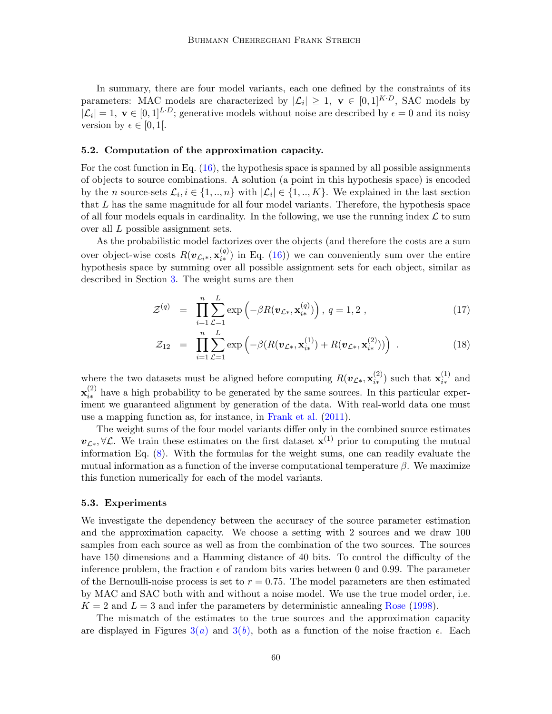In summary, there are four model variants, each one defined by the constraints of its parameters: MAC models are characterized by  $|\mathcal{L}_i| \geq 1$ ,  $\mathbf{v} \in [0,1]^{K \cdot D}$ , SAC models by  $|\mathcal{L}_i|=1, \mathbf{v} \in [0,1]^{L \cdot D}$ ; generative models without noise are described by  $\epsilon=0$  and its noisy version by  $\epsilon \in [0, 1]$ .

#### 5.2. Computation of the approximation capacity.

For the cost function in Eq.  $(16)$ , the hypothesis space is spanned by all possible assignments of objects to source combinations. A solution (a point in this hypothesis space) is encoded by the *n* source-sets  $\mathcal{L}_i, i \in \{1, ..., n\}$  with  $|\mathcal{L}_i| \in \{1, ..., K\}$ . We explained in the last section that L has the same magnitude for all four model variants. Therefore, the hypothesis space of all four models equals in cardinality. In the following, we use the running index  $\mathcal L$  to sum over all L possible assignment sets.

As the probabilistic model factorizes over the objects (and therefore the costs are a sum over object-wise costs  $R(\boldsymbol{v}_{\mathcal{L}_i*}, \mathbf{x}_{i*}^{(q)})$  $\binom{q}{i*}$  in Eq. [\(16\)](#page-8-0)) we can conveniently sum over the entire hypothesis space by summing over all possible assignment sets for each object, similar as described in Section [3.](#page-5-1) The weight sums are then

$$
\mathcal{Z}^{(q)} = \prod_{i=1}^{n} \sum_{\mathcal{L}=1}^{L} \exp\left(-\beta R(\boldsymbol{v}_{\mathcal{L}_{*}}, \mathbf{x}_{i*}^{(q)})\right), q = 1, 2, \qquad (17)
$$

$$
\mathcal{Z}_{12} = \prod_{i=1}^{n} \sum_{\mathcal{L}=1}^{L} \exp \left( -\beta (R(\mathbf{v}_{\mathcal{L}^*}, \mathbf{x}_{i*}^{(1)}) + R(\mathbf{v}_{\mathcal{L}^*}, \mathbf{x}_{i*}^{(2)})) \right) . \tag{18}
$$

where the two datasets must be aligned before computing  $R(\boldsymbol{v}_{\mathcal{L}*}, \mathbf{x}_{i*}^{(2)})$  $\mathbf{r}_{i*}^{(2)}$ ) such that  $\mathbf{x}_{i*}^{(1)}$  $\binom{1}{i*}$  and  $\mathbf{x}_{i\ast}^{(2)}$  $\binom{z}{i*}$  have a high probability to be generated by the same sources. In this particular experiment we guaranteed alignment by generation of the data. With real-world data one must use a mapping function as, for instance, in [Frank et al.](#page-14-9) [\(2011\)](#page-14-9).

The weight sums of the four model variants differ only in the combined source estimates  $v_{\mathcal{L}\ast}, \forall \mathcal{L}$ . We train these estimates on the first dataset  $\mathbf{x}^{(1)}$  prior to computing the mutual information Eq. [\(8\)](#page-4-0). With the formulas for the weight sums, one can readily evaluate the mutual information as a function of the inverse computational temperature  $\beta$ . We maximize this function numerically for each of the model variants.

#### 5.3. Experiments

We investigate the dependency between the accuracy of the source parameter estimation and the approximation capacity. We choose a setting with 2 sources and we draw 100 samples from each source as well as from the combination of the two sources. The sources have 150 dimensions and a Hamming distance of 40 bits. To control the difficulty of the inference problem, the fraction  $\epsilon$  of random bits varies between 0 and 0.99. The parameter of the Bernoulli-noise process is set to  $r = 0.75$ . The model parameters are then estimated by MAC and SAC both with and without a noise model. We use the true model order, i.e.  $K = 2$  and  $L = 3$  and infer the parameters by deterministic annealing [Rose](#page-14-12) [\(1998\)](#page-14-12).

The mismatch of the estimates to the true sources and the approximation capacity are displayed in Figures  $3(a)$  $3(a)$  and  $3(b)$ , both as a function of the noise fraction  $\epsilon$ . Each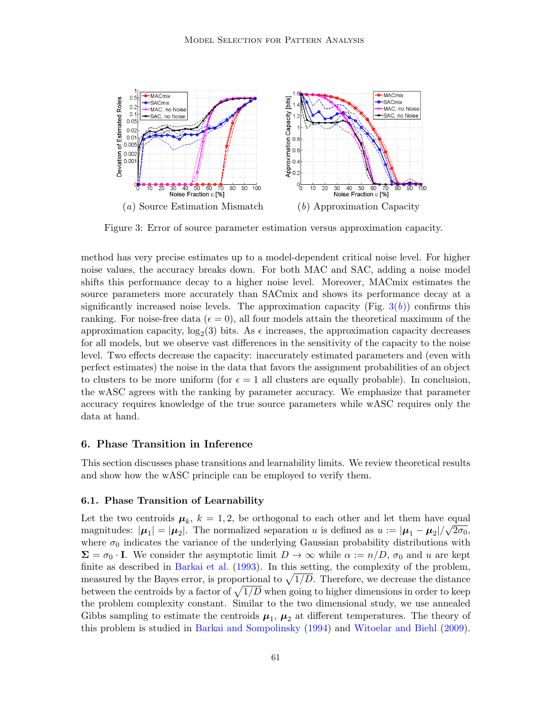<span id="page-10-0"></span>

<span id="page-10-1"></span>Figure 3: Error of source parameter estimation versus approximation capacity.

method has very precise estimates up to a model-dependent critical noise level. For higher noise values, the accuracy breaks down. For both MAC and SAC, adding a noise model shifts this performance decay to a higher noise level. Moreover, MACmix estimates the source parameters more accurately than SACmix and shows its performance decay at a significantly increased noise levels. The approximation capacity (Fig.  $3(b)$  $3(b)$ ) confirms this ranking. For noise-free data ( $\epsilon = 0$ ), all four models attain the theoretical maximum of the approximation capacity,  $log_2(3)$  bits. As  $\epsilon$  increases, the approximation capacity decreases for all models, but we observe vast differences in the sensitivity of the capacity to the noise level. Two effects decrease the capacity: inaccurately estimated parameters and (even with perfect estimates) the noise in the data that favors the assignment probabilities of an object to clusters to be more uniform (for  $\epsilon = 1$  all clusters are equally probable). In conclusion, the wASC agrees with the ranking by parameter accuracy. We emphasize that parameter accuracy requires knowledge of the true source parameters while wASC requires only the data at hand.

## 6. Phase Transition in Inference

This section discusses phase transitions and learnability limits. We review theoretical results and show how the wASC principle can be employed to verify them.

## 6.1. Phase Transition of Learnability

Let the two centroids  $\mu_k$ ,  $k = 1, 2$ , be orthogonal to each other and let them have equal  $\sqrt{2}$ magnitudes:  $|\mu_1| = |\mu_2|$ . The normalized separation u is defined as  $u := |\mu_1 - \mu_2| / \sqrt{2\sigma_0}$ , where  $\sigma_0$  indicates the variance of the underlying Gaussian probability distributions with  $\Sigma = \sigma_0 \cdot I$ . We consider the asymptotic limit  $D \to \infty$  while  $\alpha := n/D$ ,  $\sigma_0$  and u are kept finite as described in [Barkai et al.](#page-13-4) [\(1993\)](#page-13-4). In this setting, the complexity of the problem, measured by the Bayes error, is proportional to  $\sqrt{1/D}$ . Therefore, we decrease the distance between the centroids by a factor of  $\sqrt{1/D}$  when going to higher dimensions in order to keep the problem complexity constant. Similar to the two dimensional study, we use annealed Gibbs sampling to estimate the centroids  $\mu_1$ ,  $\mu_2$  at different temperatures. The theory of this problem is studied in [Barkai and Sompolinsky](#page-13-5) [\(1994\)](#page-13-5) and [Witoelar and Biehl](#page-14-13) [\(2009\)](#page-14-13).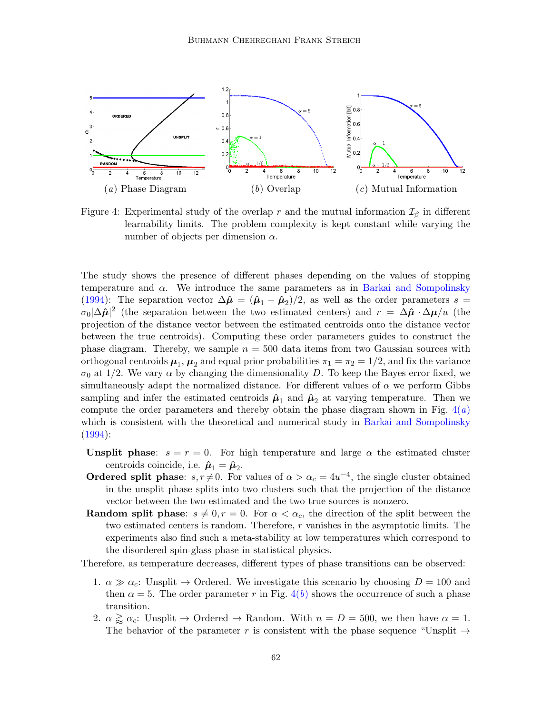<span id="page-11-0"></span>

<span id="page-11-2"></span><span id="page-11-1"></span>Figure 4: Experimental study of the overlap r and the mutual information  $\mathcal{I}_{\beta}$  in different learnability limits. The problem complexity is kept constant while varying the number of objects per dimension  $\alpha$ .

The study shows the presence of different phases depending on the values of stopping temperature and  $\alpha$ . We introduce the same parameters as in [Barkai and Sompolinsky](#page-13-5) [\(1994\)](#page-13-5): The separation vector  $\Delta \hat{\mu} = (\hat{\mu}_1 - \hat{\mu}_2)/2$ , as well as the order parameters  $s =$  $\sigma_0|\Delta\hat{\mu}|^2$  (the separation between the two estimated centers) and  $r = \Delta\hat{\mu} \cdot \Delta\mu/u$  (the projection of the distance vector between the estimated centroids onto the distance vector between the true centroids). Computing these order parameters guides to construct the phase diagram. Thereby, we sample  $n = 500$  data items from two Gaussian sources with orthogonal centroids  $\mu_1$ ,  $\mu_2$  and equal prior probabilities  $\pi_1 = \pi_2 = 1/2$ , and fix the variance  $\sigma_0$  at 1/2. We vary  $\alpha$  by changing the dimensionality D. To keep the Bayes error fixed, we simultaneously adapt the normalized distance. For different values of  $\alpha$  we perform Gibbs sampling and infer the estimated centroids  $\hat{\mu}_1$  and  $\hat{\mu}_2$  at varying temperature. Then we compute the order parameters and thereby obtain the phase diagram shown in Fig.  $4(a)$  $4(a)$ which is consistent with the theoretical and numerical study in [Barkai and Sompolinsky](#page-13-5)  $(1994):$  $(1994):$ 

- Unsplit phase:  $s = r = 0$ . For high temperature and large  $\alpha$  the estimated cluster centroids coincide, i.e.  $\hat{\boldsymbol{\mu}}_1 = \hat{\boldsymbol{\mu}}_2$ .
- **Ordered split phase:**  $s, r \neq 0$ . For values of  $\alpha > \alpha_c = 4u^{-4}$ , the single cluster obtained in the unsplit phase splits into two clusters such that the projection of the distance vector between the two estimated and the two true sources is nonzero.
- **Random split phase:**  $s \neq 0, r = 0$ . For  $\alpha < \alpha_c$ , the direction of the split between the two estimated centers is random. Therefore, r vanishes in the asymptotic limits. The experiments also find such a meta-stability at low temperatures which correspond to the disordered spin-glass phase in statistical physics.

Therefore, as temperature decreases, different types of phase transitions can be observed:

- 1.  $\alpha \gg \alpha_c$ : Unsplit  $\rightarrow$  Ordered. We investigate this scenario by choosing  $D = 100$  and then  $\alpha = 5$ . The order parameter r in Fig. [4\(](#page-11-1)b) shows the occurrence of such a phase transition.
- 2.  $\alpha \gtrsim \alpha_c$ : Unsplit  $\rightarrow$  Ordered  $\rightarrow$  Random. With  $n = D = 500$ , we then have  $\alpha = 1$ . The behavior of the parameter r is consistent with the phase sequence "Unsplit  $\rightarrow$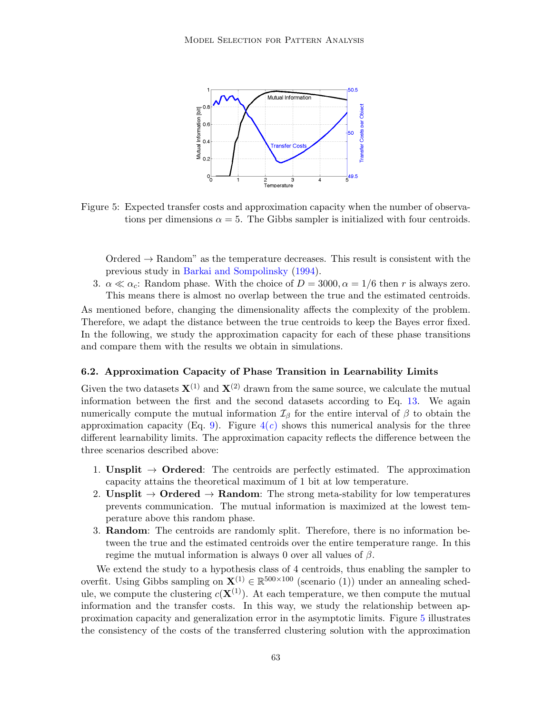

<span id="page-12-0"></span>Figure 5: Expected transfer costs and approximation capacity when the number of observations per dimensions  $\alpha = 5$ . The Gibbs sampler is initialized with four centroids.

 $Ordered \rightarrow Random$ " as the temperature decreases. This result is consistent with the previous study in [Barkai and Sompolinsky](#page-13-5) [\(1994\)](#page-13-5).

3.  $\alpha \ll \alpha_c$ : Random phase. With the choice of  $D = 3000, \alpha = 1/6$  then r is always zero. This means there is almost no overlap between the true and the estimated centroids.

As mentioned before, changing the dimensionality affects the complexity of the problem. Therefore, we adapt the distance between the true centroids to keep the Bayes error fixed. In the following, we study the approximation capacity for each of these phase transitions and compare them with the results we obtain in simulations.

## 6.2. Approximation Capacity of Phase Transition in Learnability Limits

Given the two datasets  $\mathbf{X}^{(1)}$  and  $\mathbf{X}^{(2)}$  drawn from the same source, we calculate the mutual information between the first and the second datasets according to Eq. [13.](#page-5-0) We again numerically compute the mutual information  $\mathcal{I}_{\beta}$  for the entire interval of  $\beta$  to obtain the approximation capacity (Eq. [9\)](#page-4-1). Figure  $4(c)$  $4(c)$  shows this numerical analysis for the three different learnability limits. The approximation capacity reflects the difference between the three scenarios described above:

- 1. Unsplit  $\rightarrow$  Ordered: The centroids are perfectly estimated. The approximation capacity attains the theoretical maximum of 1 bit at low temperature.
- 2. Unsplit  $\rightarrow$  Ordered  $\rightarrow$  Random: The strong meta-stability for low temperatures prevents communication. The mutual information is maximized at the lowest temperature above this random phase.
- 3. Random: The centroids are randomly split. Therefore, there is no information between the true and the estimated centroids over the entire temperature range. In this regime the mutual information is always 0 over all values of  $\beta$ .

We extend the study to a hypothesis class of 4 centroids, thus enabling the sampler to overfit. Using Gibbs sampling on  $\mathbf{X}^{(1)} \in \mathbb{R}^{500 \times 100}$  (scenario (1)) under an annealing schedule, we compute the clustering  $c(\mathbf{X}^{(1)})$ . At each temperature, we then compute the mutual information and the transfer costs. In this way, we study the relationship between approximation capacity and generalization error in the asymptotic limits. Figure [5](#page-12-0) illustrates the consistency of the costs of the transferred clustering solution with the approximation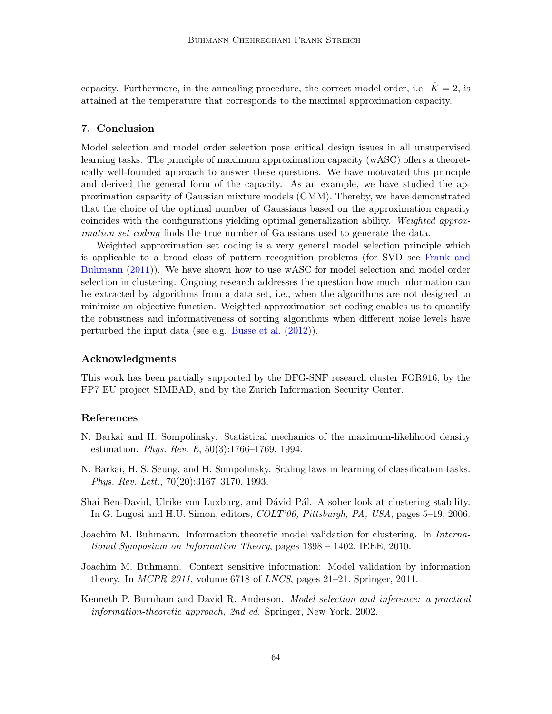capacity. Furthermore, in the annealing procedure, the correct model order, i.e.  $\hat{K} = 2$ , is attained at the temperature that corresponds to the maximal approximation capacity.

# 7. Conclusion

Model selection and model order selection pose critical design issues in all unsupervised learning tasks. The principle of maximum approximation capacity (wASC) offers a theoretically well-founded approach to answer these questions. We have motivated this principle and derived the general form of the capacity. As an example, we have studied the approximation capacity of Gaussian mixture models (GMM). Thereby, we have demonstrated that the choice of the optimal number of Gaussians based on the approximation capacity coincides with the configurations yielding optimal generalization ability. Weighted approximation set coding finds the true number of Gaussians used to generate the data.

Weighted approximation set coding is a very general model selection principle which is applicable to a broad class of pattern recognition problems (for SVD see [Frank and](#page-14-14) [Buhmann](#page-14-14) [\(2011\)](#page-14-14)). We have shown how to use wASC for model selection and model order selection in clustering. Ongoing research addresses the question how much information can be extracted by algorithms from a data set, i.e., when the algorithms are not designed to minimize an objective function. Weighted approximation set coding enables us to quantify the robustness and informativeness of sorting algorithms when different noise levels have perturbed the input data (see e.g. [Busse et al.](#page-14-15) [\(2012\)](#page-14-15)).

## Acknowledgments

This work has been partially supported by the DFG-SNF research cluster FOR916, by the FP7 EU project SIMBAD, and by the Zurich Information Security Center.

# References

- <span id="page-13-5"></span>N. Barkai and H. Sompolinsky. Statistical mechanics of the maximum-likelihood density estimation. Phys. Rev. E, 50(3):1766–1769, 1994.
- <span id="page-13-4"></span>N. Barkai, H. S. Seung, and H. Sompolinsky. Scaling laws in learning of classification tasks. Phys. Rev. Lett., 70(20):3167–3170, 1993.
- <span id="page-13-2"></span>Shai Ben-David, Ulrike von Luxburg, and Dávid Pál. A sober look at clustering stability. In G. Lugosi and H.U. Simon, editors, COLT'06, Pittsburgh, PA, USA, pages 5–19, 2006.
- <span id="page-13-0"></span>Joachim M. Buhmann. Information theoretic model validation for clustering. In *Interna*tional Symposium on Information Theory, pages 1398 – 1402. IEEE, 2010.
- <span id="page-13-3"></span>Joachim M. Buhmann. Context sensitive information: Model validation by information theory. In MCPR 2011, volume 6718 of LNCS, pages 21–21. Springer, 2011.
- <span id="page-13-1"></span>Kenneth P. Burnham and David R. Anderson. Model selection and inference: a practical information-theoretic approach, 2nd ed. Springer, New York, 2002.